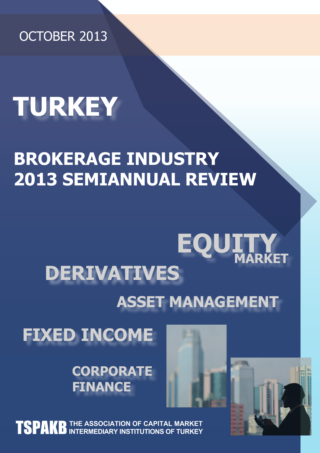OCTOBER 2013

# **TURKEY**

## **BROKERAGE INDUSTRY 2013 SEMIANNUAL REVIEW**

## **DERIVATIVES EQUI MARKET ASSET MANAGEMENT**

**FIXED INCOME**

**CORPORATE FINANCE**





**TSPAKE** THE ASSOCIATION OF CAPITAL MARKET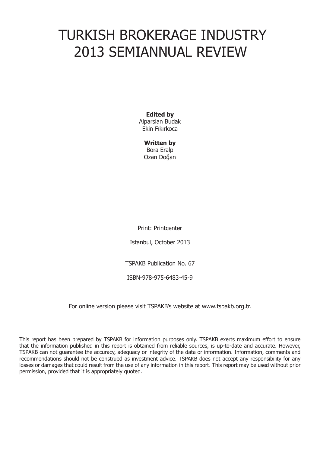## TURKISH BROKERAGE INDUSTRY 2013 SEMIANNUAL REVIEW

**Edited by** Alparslan Budak Ekin Fıkırkoca

> **Written by** Bora Eralp Ozan Doğan

Print: Printcenter

Istanbul, October 2013

TSPAKB Publication No. 67

ISBN-978-975-6483-45-9

For online version please visit TSPAKB's website at www.tspakb.org.tr.

This report has been prepared by TSPAKB for information purposes only. TSPAKB exerts maximum effort to ensure that the information published in this report is obtained from reliable sources, is up-to-date and accurate. However, TSPAKB can not guarantee the accuracy, adequacy or integrity of the data or information. Information, comments and recommendations should not be construed as investment advice. TSPAKB does not accept any responsibility for any losses or damages that could result from the use of any information in this report. This report may be used without prior permission, provided that it is appropriately quoted.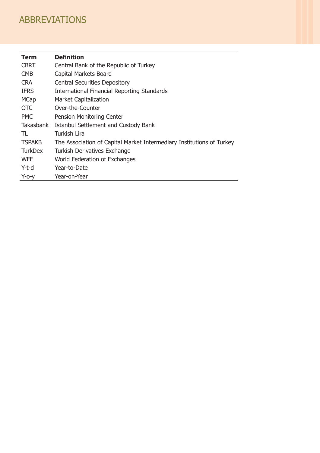### ABBREVIATIONS

| <b>Term</b>      | <b>Definition</b>                                                     |
|------------------|-----------------------------------------------------------------------|
| <b>CBRT</b>      | Central Bank of the Republic of Turkey                                |
| <b>CMB</b>       | Capital Markets Board                                                 |
| <b>CRA</b>       | <b>Central Securities Depository</b>                                  |
| <b>IFRS</b>      | International Financial Reporting Standards                           |
| <b>MCap</b>      | <b>Market Capitalization</b>                                          |
| <b>OTC</b>       | Over-the-Counter                                                      |
| <b>PMC</b>       | Pension Monitoring Center                                             |
| <b>Takasbank</b> | Istanbul Settlement and Custody Bank                                  |
| TL               | <b>Turkish Lira</b>                                                   |
| <b>TSPAKB</b>    | The Association of Capital Market Intermediary Institutions of Turkey |
| <b>TurkDex</b>   | <b>Turkish Derivatives Exchange</b>                                   |
| <b>WFE</b>       | World Federation of Exchanges                                         |
| $Y-t-d$          | Year-to-Date                                                          |
| $Y$ -o-y         | Year-on-Year                                                          |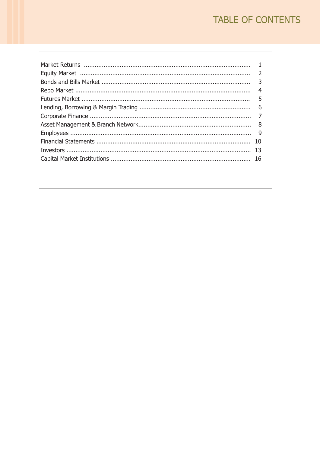### TABLE OF CONTENTS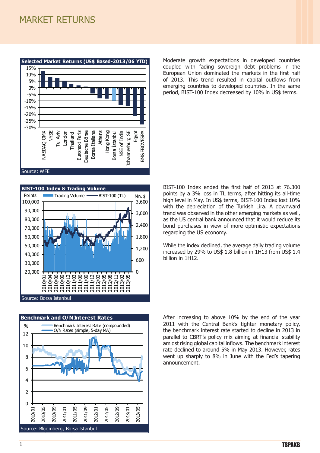#### MARKET RETURNS EQUITY MARKET RETURNS



**BIST-100 Index & Trading Volume** Points Trading Volume BIST-100 (TL) Mn. \$ 100,000 3,600 90,000 3,000 80,000 IJ 2,400 70,000 60,000 1,800 50,000 1,200 40,000 600 30,000 20,000  $\Omega$ 2010/04 2012/05 2012/08 2012/11 2010/06 2010/09 2010/12 2011/03 2011/06 2011/09 2011/12 2012/02 2013/02 2013/05 2010/01 Source: Borsa Istanbul



Moderate growth expectations in developed countries coupled with fading sovereign debt problems in the European Union dominated the markets in the first half of 2013. This trend resulted in capital outflows from emerging countries to developed countries. In the same period, BIST-100 Index decreased by 10% in US\$ terms.

BIST-100 Index ended the first half of 2013 at 76.300 points by a 3% loss in TL terms, after hitting its all-time high level in May. In US\$ terms, BIST-100 Index lost 10% with the depreciation of the Turkish Lira. A downward trend was observed in the other emerging markets as well, as the US central bank announced that it would reduce its bond purchases in view of more optimistic expectations regarding the US economy.

While the index declined, the average daily trading volume increased by 29% to US\$ 1.8 billion in 1H13 from US\$ 1.4 billion in 1H12.

After increasing to above 10% by the end of the year 2011 with the Central Bank's tighter monetary policy, the benchmark interest rate started to decline in 2013 in parallel to CBRT's policy mix aiming at financial stability amidst rising global capital inflows. The benchmark interest rate declined to around 5% in May 2013. However, rates went up sharply to 8% in June with the Fed's tapering announcement.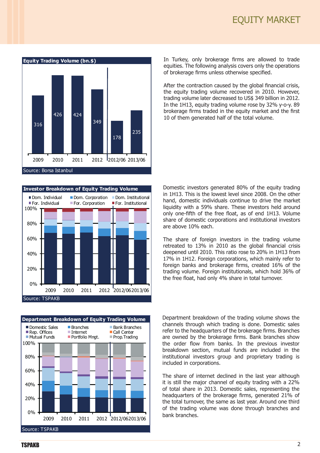





In Turkey, only brokerage firms are allowed to trade equities. The following analysis covers only the operations of brokerage firms unless otherwise specified.

After the contraction caused by the global financial crisis, the equity trading volume recovered in 2010. However, trading volume later decreased to US\$ 349 billion in 2012. In the 1H13, equity trading volume rose by 32% y-o-y. 89 brokerage firms traded in the equity market and the first 10 of them generated half of the total volume.

Domestic investors generated 80% of the equity trading in 1H13. This is the lowest level since 2008. On the other hand, domestic individuals continue to drive the market liquidity with a 59% share. These investors held around only one-fifth of the free float, as of end 1H13. Volume share of domestic corporations and institutional investors are above 10% each.

The share of foreign investors in the trading volume retreated to 13% in 2010 as the global financial crisis deepened until 2010. This ratio rose to 20% in 1H13 from 17% in 1H12. Foreign corporations, which mainly refer to foreign banks and brokerage firms, created 16% of the trading volume. Foreign institutionals, which hold 36% of the free float, had only 4% share in total turnover.

Department breakdown of the trading volume shows the channels through which trading is done. Domestic sales refer to the headquarters of the brokerage firms. Branches are owned by the brokerage firms. Bank branches show the order flow from banks. In the previous investor breakdown section, mutual funds are included in the institutional investors group and proprietary trading is included in corporations.

The share of internet declined in the last year although it is still the major channel of equity trading with a 22% of total share in 2013. Domestic sales, representing the headquarters of the brokerage firms, generated 21% of the total turnover, the same as last year. Around one third of the trading volume was done through branches and bank branches.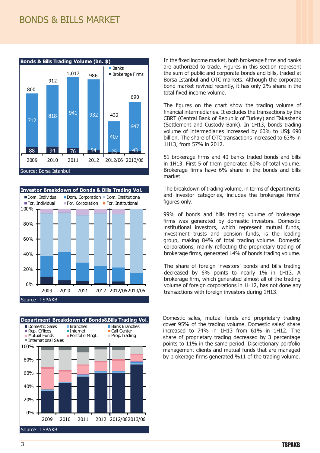#### BONDS & BILLS MARKET







In the fixed income market, both brokerage firms and banks are authorized to trade. Figures in this section represent the sum of public and corporate bonds and bills, traded at Borsa Istanbul and OTC markets. Although the corporate bond market revived recently, it has only 2% share in the total fixed income volume.

The figures on the chart show the trading volume of financial intermediaries. It excludes the transactions by the CBRT (Central Bank of Republic of Turkey) and Takasbank (Settlement and Custody Bank). In 1H13, bonds trading volume of intermediaries increased by 60% to US\$ 690 billion. The share of OTC transactions increased to 63% in 1H13, from 57% in 2012.

51 brokerage firms and 40 banks traded bonds and bills in 1H13. First 5 of them generated 60% of total volume. Brokerage firms have 6% share in the bonds and bills market.

The breakdown of trading volume, in terms of departments and investor categories, includes the brokerage firms' figures only.

99% of bonds and bills trading volume of brokerage firms was generated by domestic investors. Domestic institutional investors, which represent mutual funds, investment trusts and pension funds, is the leading group, making 84% of total trading volume. Domestic corporations, mainly reflecting the proprietary trading of brokerage firms, generated 14% of bonds trading volume.

The share of foreign investors' bonds and bills trading decreased by 6% points to nearly 1% in 1H13. A brokerage firm, which generated almost all of the trading volume of foreign corporations in 1H12, has not done any transactions with foreign investors during 1H13.

Domestic sales, mutual funds and proprietary trading cover 95% of the trading volume. Domestic sales' share increased to 74% in 1H13 from 61% in 1H12. The share of proprietary trading decreased by 3 percentage points to 11% in the same period. Discretionary portfolio management clients and mutual funds that are managed by brokerage firms generated %11 of the trading volume.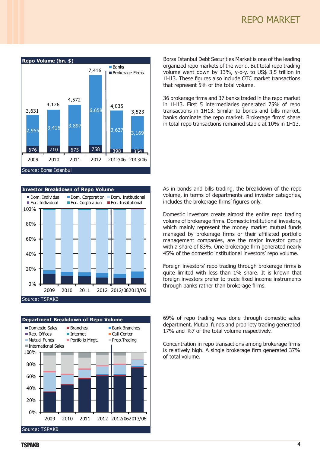





Borsa Istanbul Debt Securities Market is one of the leading organized repo markets of the world. But total repo trading volume went down by 13%, y-o-y, to US\$ 3.5 trillion in 1H13. These figures also include OTC market transactions that represent 5% of the total volume.

36 brokerage firms and 37 banks traded in the repo market in 1H13. First 5 intermediaries generated 75% of repo transactions in 1H13. Similar to bonds and bills market, banks dominate the repo market. Brokerage firms' share in total repo transactions remained stable at 10% in 1H13.

As in bonds and bills trading, the breakdown of the repo volume, in terms of departments and investor categories, includes the brokerage firms' figures only.

Domestic investors create almost the entire repo trading volume of brokerage firms. Domestic institutional investors, which mainly represent the money market mutual funds managed by brokerage firms or their affiliated portfolio management companies, are the major investor group with a share of 83%. One brokerage firm generated nearly 45% of the domestic institutional investors' repo volume.

Foreign investors' repo trading through brokerage firms is quite limited with less than 1% share. It is known that foreign investors prefer to trade fixed income instruments through banks rather than brokerage firms.

69% of repo trading was done through domestic sales department. Mutual funds and propriety trading generated 17% and %7 of the total volume respectively.

Concentration in repo transactions among brokerage firms is relatively high. A single brokerage firm generated 37% of total volume.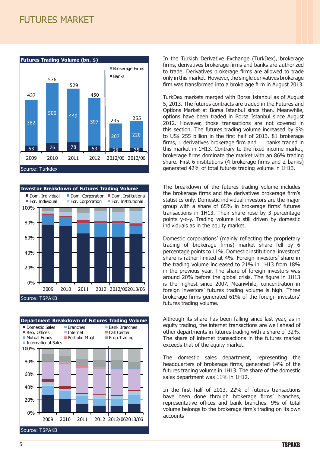#### FUTURES MARKET







In the Turkish Derivative Exchange (TurkDex), brokerage firms, derivatives brokerage firms and banks are authorized to trade. Derivatives brokerage firms are allowed to trade only in this market. However, the single derivatives brokerage firm was transformed into a brokerage firm in August 2013.

TurkDex markets merged with Borsa Istanbul as of August 5, 2013. The futures contracts are traded in the Futures and Options Market at Borsa Istanbul since then. Meanwhile, options have been traded in Borsa İstanbul since August 2012. However, those transactions are not covered in this section. The futures trading volume increased by 9% to US\$ 255 billion in the first half of 2013. 81 brokerage firms, 1 derivatives brokerage firm and 11 banks traded in this market in 1H13. Contrary to the fixed income market, brokerage firms dominate the market with an 86% trading share. First 6 institutions (4 brokerage firms and 2 banks) generated 42% of total futures trading volume in 1H13.

The breakdown of the futures trading volume includes the brokerage firms and the derivatives brokerage firm's statistics only. Domestic individual investors are the major group with a share of 65% in brokerage firms' futures transactions in 1H13. Their share rose by 3 percentage points y-o-y. Trading volume is still driven by domestic individuals as in the equity market.

Domestic corporations' (mainly reflecting the proprietary trading of brokerage firms) market share fell by 6 percentage points to 11%. Domestic institutional investors' share is rather limited at 4%. Foreign investors' share in the trading volume increased to 21% in 1H13 from 18% in the previous year. The share of foreign investors was around 20% before the global crisis. The figure in 1H13 is the highest since 2007. Meanwhile, concentration in foreign investors' futures trading volume is high. Three brokerage firms generated 61% of the foreign investors' futures trading volume.

Although its share has been falling since last year, as in equity trading, the internet transactions are well ahead of other departments in futures trading with a share of 32%. The share of internet transactions in the futures market exceeds that of the equity market.

The domestic sales department, representing the headquarters of brokerage firms, generated 14% of the futures trading volume in 1H13. The share of the domestic sales department was 11% in 1H12.

In the first half of 2013, 22% of futures transactions have been done through brokerage firms' branches, representative offices and bank branches. 9% of total volume belongs to the brokerage firm's trading on its own accounts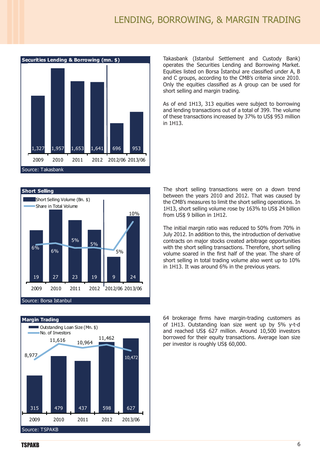#### LENDING, BORROWING, & MARGIN TRADING



Takasbank (Istanbul Settlement and Custody Bank) operates the Securities Lending and Borrowing Market. Equities listed on Borsa İstanbul are classified under A, B and C groups, according to the CMB's criteria since 2010. Only the equities classified as A group can be used for short selling and margin trading.

As of end 1H13, 313 equities were subject to borrowing and lending transactions out of a total of 399. The volume of these transactions increased by 37% to US\$ 953 million in 1H13.





The short selling transactions were on a down trend between the years 2010 and 2012. That was caused by the CMB's measures to limit the short selling operations. In 1H13, short selling volume rose by 163% to US\$ 24 billion from US\$ 9 billion in 1H12.

The initial margin ratio was reduced to 50% from 70% in July 2012. In addition to this, the introduction of derivative contracts on major stocks created arbitrage opportunities with the short selling transactions. Therefore, short selling volume soared in the first half of the year. The share of short selling in total trading volume also went up to 10% in 1H13. It was around 6% in the previous years.

64 brokerage firms have margin-trading customers as of 1H13. Outstanding loan size went up by 5% y-t-d and reached US\$ 627 million. Around 10,500 investors borrowed for their equity transactions. Average loan size per investor is roughly US\$ 60,000.

**TSPAKB**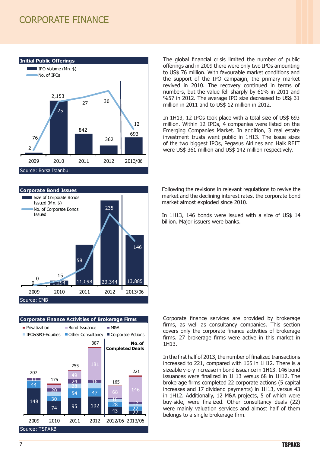#### CORPORATE FINANCE







The global financial crisis limited the number of public offerings and in 2009 there were only two IPOs amounting to US\$ 76 million. With favourable market conditions and the support of the IPO campaign, the primary market revived in 2010. The recovery continued in terms of numbers, but the value fell sharply by 61% in 2011 and %57 in 2012. The average IPO size decreased to US\$ 31 million in 2011 and to US\$ 12 million in 2012.

In 1H13, 12 IPOs took place with a total size of US\$ 693 million. Within 12 IPOs, 4 companies were listed on the Emerging Companies Market. In addition, 3 real estate investment trusts went public in 1H13. The issue sizes of the two biggest IPOs, Pegasus Airlines and Halk REIT were US\$ 361 million and US\$ 142 million respectively.

Following the revisions in relevant regulations to revive the market and the declining interest rates, the corporate bond market almost exploded since 2010.

In 1H13, 146 bonds were issued with a size of US\$ 14 billion. Major issuers were banks.

Corporate finance services are provided by brokerage firms, as well as consultancy companies. This section covers only the corporate finance activities of brokerage firms. 27 brokerage firms were active in this market in 1H13.

In the first half of 2013, the number of finalized transactions increased to 221, compared with 165 in 1H12. There is a sizeable y-o-y increase in bond issuance in 1H13. 146 bond issuances were finalized in 1H13 versus 68 in 1H12. The brokerage firms completed 22 corporate actions (5 capital increases and 17 dividend payments) in 1H13, versus 43 in 1H12. Additionally, 12 M&A projects, 5 of which were buy-side, were finalized. Other consultancy deals (22) were mainly valuation services and almost half of them belongs to a single brokerage firm.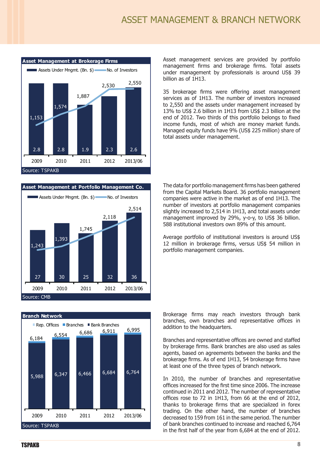#### ASSET MANAGEMENT & BRANCH NETWORK







Asset management services are provided by portfolio management firms and brokerage firms. Total assets under management by professionals is around US\$ 39 billion as of 1H13.

35 brokerage firms were offering asset management services as of 1H13. The number of investors increased to 2,550 and the assets under management increased by 13% to US\$ 2.6 billion in 1H13 from US\$ 2.3 billion at the end of 2012. Two thirds of this portfolio belongs to fixed income funds, most of which are money market funds. Managed equity funds have 9% (US\$ 225 million) share of total assets under management.

The data for portfolio management firms has been gathered from the Capital Markets Board. 36 portfolio management companies were active in the market as of end 1H13. The number of investors at portfolio management companies slightly increased to 2,514 in 1H13, and total assets under management improved by 29%, y-o-y, to US\$ 36 billion. 588 institutional investors own 89% of this amount.

Average portfolio of institutional investors is around US\$ 12 million in brokerage firms, versus US\$ 54 million in portfolio management companies.

Brokerage firms may reach investors through bank branches, own branches and representative offices in addition to the headquarters.

Branches and representative offices are owned and staffed by brokerage firms. Bank branches are also used as sales agents, based on agreements between the banks and the brokerage firms. As of end 1H13, 54 brokerage firms have at least one of the three types of branch network.

In 2010, the number of branches and representative offices increased for the first time since 2006. The increase continued in 2011 and 2012. The number of representative offices rose to 72 in 1H13, from 66 at the end of 2012, thanks to brokerage firms that are specialized in forex trading. On the other hand, the number of branches decreased to 159 from 161 in the same period. The number of bank branches continued to increase and reached 6,764 in the first half of the year from 6,684 at the end of 2012.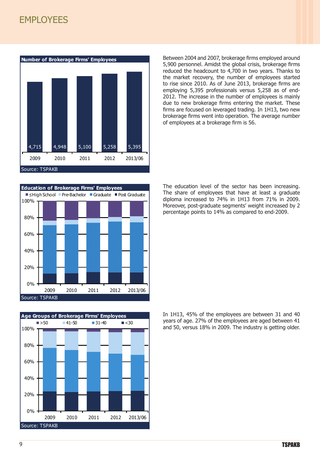#### **EMPLOYEES**







Between 2004 and 2007, brokerage firms employed around 5,900 personnel. Amidst the global crisis, brokerage firms reduced the headcount to 4,700 in two years. Thanks to the market recovery, the number of employees started to rise since 2010. As of June 2013, brokerage firms are employing 5,395 professionals versus 5,258 as of end-2012. The increase in the number of employees is mainly due to new brokerage firms entering the market. These firms are focused on leveraged trading. In 1H13, two new brokerage firms went into operation. The average number of employees at a brokerage firm is 56.

The education level of the sector has been increasing. The share of employees that have at least a graduate diploma increased to 74% in 1H13 from 71% in 2009. Moreover, post-graduate segments' weight increased by 2 percentage points to 14% as compared to end-2009.

In 1H13, 45% of the employees are between 31 and 40 years of age. 27% of the employees are aged between 41 and 50, versus 18% in 2009. The industry is getting older.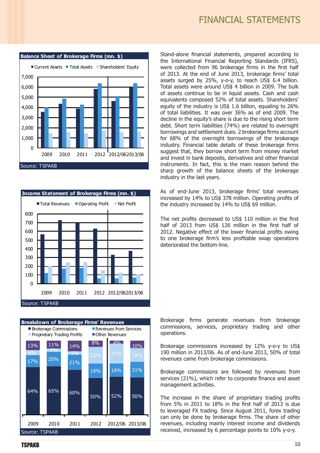





Stand-alone financial statements, prepared according to the International Financial Reporting Standards (IFRS), were collected from 96 brokerage firms in the first half of 2013. At the end of June 2013, brokerage firms' total assets surged by 25%, y-o-y, to reach US\$ 6.4 billion. Total assets were around US\$ 4 billion in 2009. The bulk of assets continue to be in liquid assets. Cash and cash equivalents composed 52% of total assets. Shareholders' equity of the industry is US\$ 1.6 billion, equaling to 26% of total liabilities. It was over 36% as of end 2009. The decline in the equity's share is due to the rising short term debt. Short term liabilities (74%) are related to overnight borrowings and settlement dues. 2 brokerage firms account for 68% of the overnight borrowings of the brokerage industry. Financial table details of these brokerage firms suggest that, they borrow short term from money market and invest in bank deposits, derivatives and other financial instruments. In fact, this is the main reason behind the sharp growth of the balance sheets of the brokerage industry in the last years.

As of end-June 2013, brokerage firms' total revenues increased by 14% to US\$ 378 million. Operating profits of the industry increased by 14% to US\$ 69 million.

The net profits decreased to US\$ 110 million in the first half of 2013 from US\$ 126 million in the first half of 2012. Negative effect of the lower financial profits owing to one brokerage firm's less profitable swap operations deteriorated the bottom-line.

Brokerage firms generate revenues from brokerage commissions, services, proprietary trading and other operations.

Brokerage commissions increased by 12% y-o-y to US\$ 190 million in 2013/06. As of end-June 2013, 50% of total revenues came from brokerage commissions.

Brokerage commissions are followed by revenues from services (21%), which refer to corporate finance and asset management activities.

The increase in the share of proprietary trading profits from 5% in 2011 to 18% in the first half of 2013 is due to leveraged FX trading. Since August 2011, forex trading can only be done by brokerage firms. The share of other revenues, including mainly interest income and dividends received, increased by 6 percentage points to 10% y-o-y.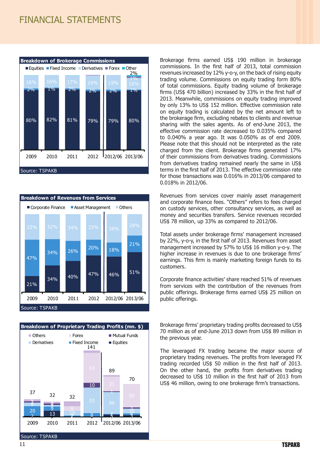#### FINANCIAL STATEMENTS







Brokerage firms earned US\$ 190 million in brokerage commissions. In the first half of 2013, total commission revenues increased by 12% y-o-y, on the back of rising equity trading volume. Commissions on equity trading form 80% of total commissions. Equity trading volume of brokerage firms (US\$ 470 billion) increased by 33% in the first half of 2013. Meanwhile, commissions on equity trading improved by only 13% to US\$ 152 million. Effective commission rate on equity trading is calculated by the net amount left to the brokerage firm, excluding rebates to clients and revenue sharing with the sales agents. As of end-June 2013, the effective commission rate decreased to 0.035% compared to 0.040% a year ago. It was 0.050% as of end 2009. Please note that this should not be interpreted as the rate charged from the client. Brokerage firms generated 17% of their commissions from derivatives trading. Commissions from derivatives trading remained nearly the same in US\$ terms in the first half of 2013. The effective commission rate for those transactions was 0.016% in 2013/06 compared to 0.018% in 2012/06.

Revenues from services cover mainly asset management and corporate finance fees. "Others" refers to fees charged on custody services, other consultancy services, as well as money and securities transfers. Service revenues recorded US\$ 78 million, up 33% as compared to 2012/06.

Total assets under brokerage firms' management increased by 22%, y-o-y, in the first half of 2013. Revenues from asset management increased by 57% to US\$ 16 million y-o-y. The higher increase in revenues is due to one brokerage firms' earnings. This firm is mainly marketing foreign funds to its customers.

Corporate finance activities' share reached 51% of revenues from services with the contribution of the revenues from public offerings. Brokerage firms earned US\$ 25 million on public offerings.

Brokerage firms' proprietary trading profits decreased to US\$ 70 million as of end-June 2013 down from US\$ 89 million in the previous year.

The leveraged FX trading became the major source of proprietary trading revenues. The profits from leveraged FX trading recorded US\$ 50 million in the first half of 2013. On the other hand, the profits from derivatives trading decreased to US\$ 10 million in the first half of 2013 from US\$ 46 million, owing to one brokerage firm's transactions.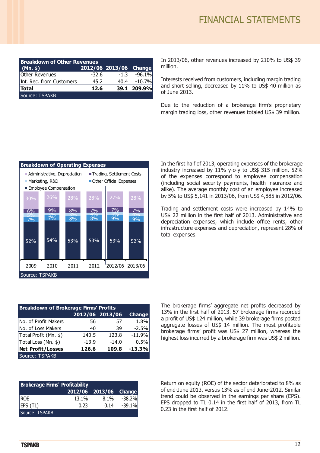| <b>Breakdown of Other Revenues</b> |       |                        |                 |  |
|------------------------------------|-------|------------------------|-----------------|--|
| (Mn. \$)                           |       | 2012/06 2013/06 Change |                 |  |
| Other Revenues                     | -32.6 |                        | $-1.3 - 96.1\%$ |  |
| Int. Rec. from Customers           | 45.2  |                        | 40.4 - 10.7%    |  |
| <b>Total</b>                       | 12.6  |                        | 39.1 209.9%     |  |
| Source: TSPAKB                     |       |                        |                 |  |

In 2013/06, other revenues increased by 210% to US\$ 39 million.

Interests received from customers, including margin trading and short selling, decreased by 11% to US\$ 40 million as of June 2013.

Due to the reduction of a brokerage firm's proprietary margin trading loss, other revenues totaled US\$ 39 million.



| <b>Breakdown of Brokerage Firms' Profits</b> |                 |         |               |
|----------------------------------------------|-----------------|---------|---------------|
|                                              | 2012/06 2013/06 |         | <b>Change</b> |
| No. of Profit Makers                         | 56              | 57      | 1.8%          |
| No. of Loss Makers                           | 40              | 39      | $-2.5%$       |
| Total Profit (Mn. \$)                        | 140.5           | 123.8   | $-11.9%$      |
| Total Loss (Mn. \$)                          | $-13.9$         | $-14.0$ | 0.5%          |
| <b>Net Profit/Losses</b>                     | 126.6           | 109.8   | $-13.3%$      |
| Source: TSPAKB                               |                 |         |               |

In the first half of 2013, operating expenses of the brokerage industry increased by 11% y-o-y to US\$ 315 million. 52% of the expenses correspond to employee compensation (including social security payments, health insurance and alike). The average monthly cost of an employee increased by 5% to US\$ 5,141 in 2013/06, from US\$ 4,885 in 2012/06.

Trading and settlement costs were increased by 14% to US\$ 22 million in the first half of 2013. Administrative and depreciation expenses, which include office rents, other infrastructure expenses and depreciation, represent 28% of total expenses.

The brokerage firms' aggregate net profits decreased by 13% in the first half of 2013. 57 brokerage firms recorded a profit of US\$ 124 million, while 39 brokerage firms posted aggregate losses of US\$ 14 million. The most profitable brokerage firms' profit was US\$ 27 million, whereas the highest loss incurred by a brokerage firm was US\$ 2 million.

| <b>Brokerage Firms' Profitability</b> |       |                        |          |
|---------------------------------------|-------|------------------------|----------|
|                                       |       | 2012/06 2013/06 Change |          |
| ROE                                   | 13.1% | 8.1%                   | $-38.2%$ |
| EPS (TL)                              | 0.23  | 0.14                   | $-39.1%$ |
| Source: TSPAKB                        |       |                        |          |

Return on equity (ROE) of the sector deteriorated to 8% as of end-June 2013, versus 13% as of end June-2012. Similar trend could be observed in the earnings per share (EPS). EPS dropped to TL 0.14 in the first half of 2013, from TL 0.23 in the first half of 2012.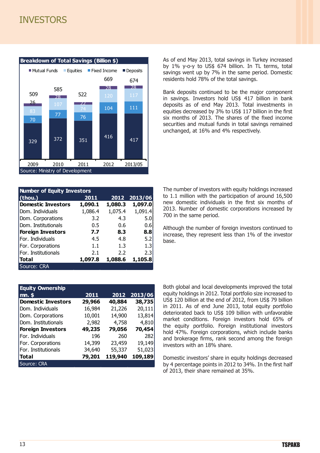#### **INVESTORS**



| <b>Number of Equity Investors</b> |         |         |         |
|-----------------------------------|---------|---------|---------|
| (thou.)                           | 2011    | 2012    | 2013/06 |
| <b>Domestic Investors</b>         | 1,090.1 | 1,080.3 | 1,097.0 |
| Dom. Individuals                  | 1,086.4 | 1,075.4 | 1,091.4 |
| Dom. Corporations                 | 3.2     | 4.3     | 5.0     |
| Dom. Institutionals               | 0.5     | 0.6     | 0.6     |
| <b>Foreign Investors</b>          | 7.7     | 8.3     | 8.8     |
| For. Individuals                  | 4.5     | 4.8     | 5.2     |
| For. Corporations                 | 1.1     | 1.3     | 1.3     |
| For. Institutionals               | 2.1     | 2.2     | 2.3     |
| <b>Total</b>                      | 1,097.8 | 1,088.6 | 1,105.8 |
| Source: CRA                       |         |         |         |

| <b>Equity Ownership</b>   |        |         |         |
|---------------------------|--------|---------|---------|
| mn. \$                    | 2011   | 2012    | 2013/06 |
| <b>Domestic Investors</b> | 29,966 | 40,884  | 38,735  |
| Dom. Individuals          | 16,984 | 21,226  | 20,111  |
| Dom. Corporations         | 10,001 | 14,900  | 13,814  |
| Dom. Institutionals       | 2,982  | 4,758   | 4,810   |
| <b>Foreign Investors</b>  | 49,235 | 79,056  | 70,454  |
| For. Individuals          | 196    | 260     | 282     |
| For. Corporations         | 14,399 | 23,459  | 19,149  |
| For. Institutionals       | 34,640 | 55,337  | 51,023  |
| <b>Total</b>              | 79,201 | 119,940 | 109,189 |
| Source: CRA               |        |         |         |

As of end May 2013, total savings in Turkey increased by 1% y-o-y to US\$ 674 billion. In TL terms, total savings went up by 7% in the same period. Domestic residents hold 78% of the total savings.

Bank deposits continued to be the major component in savings. Investors hold US\$ 417 billion in bank deposits as of end May 2013. Total investments in equities decreased by 3% to US\$ 117 billion in the first six months of 2013. The shares of the fixed income securities and mutual funds in total savings remained unchanged, at 16% and 4% respectively.

The number of investors with equity holdings increased to 1.1 million with the participation of around 16,500 new domestic individuals in the first six months of 2013. Number of domestic corporations increased by 700 in the same period.

Although the number of foreign investors continued to increase, they represent less than 1% of the investor base.

Both global and local developments improved the total equity holdings in 2012. Total portfolio size increased to US\$ 120 billion at the end of 2012, from US\$ 79 billion in 2011. As of end June 2013, total equity portfolio deteriorated back to US\$ 109 billion with unfavorable market conditions. Foreign investors hold 65% of the equity portfolio. Foreign institutional investors hold 47%. Foreign corporations, which include banks and brokerage firms, rank second among the foreign investors with an 18% share.

Domestic investors' share in equity holdings decreased by 4 percentage points in 2012 to 34%. In the first half of 2013, their share remained at 35%.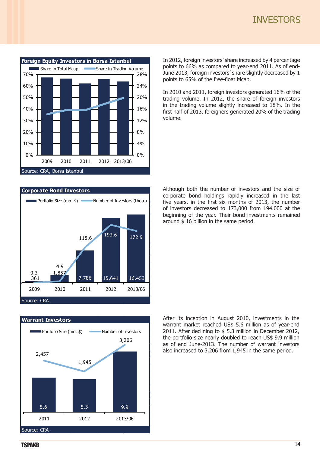#### **INVESTORS**



In 2012, foreign investors' share increased by 4 percentage points to 66% as compared to year-end 2011. As of end-June 2013, foreign investors' share slightly decreased by 1 points to 65% of the free-float Mcap.

In 2010 and 2011, foreign investors generated 16% of the trading volume. In 2012, the share of foreign investors in the trading volume slightly increased to 18%. In the first half of 2013, foreigners generated 20% of the trading volume.



**Warrant Investors** Source: CRA 5.6 5.3 9.9 2,457 1,945 3,206 2011 2012 2013/06  $\blacksquare$  Portfolio Size (mn.  $\uparrow$ ) Number of Investors Although both the number of investors and the size of corporate bond holdings rapidly increased in the last five years, in the first six months of 2013, the number of investors decreased to 173,000 from 194.000 at the beginning of the year. Their bond investments remained around \$ 16 billion in the same period.

After its inception in August 2010, investments in the warrant market reached US\$ 5.6 million as of year-end 2011. After declining to \$ 5.3 million in December 2012, the portfolio size nearly doubled to reach US\$ 9.9 million as of end June-2013. The number of warrant investors also increased to 3,206 from 1,945 in the same period.

**TSPAKB**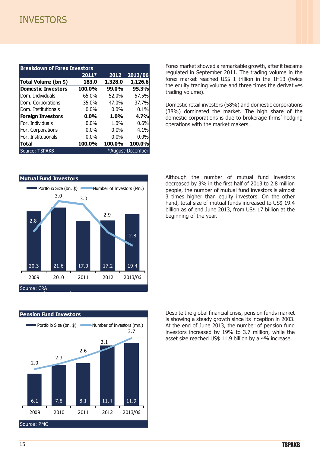#### **INVESTORS**

| <b>Breakdown of Forex Investors</b> |         |         |         |
|-------------------------------------|---------|---------|---------|
|                                     | $2011*$ | 2012    | 2013/06 |
| Total Volume (bn \$)                | 183.0   | 1,328.0 | 1,126.6 |
| <b>Domestic Investors</b>           | 100.0%  | 99.0%   | 95.3%   |
| Dom. Individuals                    | 65.0%   | 52.0%   | 57.5%   |
| Dom. Corporations                   | 35.0%   | 47.0%   | 37.7%   |
| Dom. Institutionals                 | $0.0\%$ | $0.0\%$ | 0.1%    |
| <b>Foreign Investors</b>            | $0.0\%$ | 1.0%    | 4.7%    |
| For. Individuals                    | $0.0\%$ | 1.0%    | 0.6%    |
| For. Corporations                   | $0.0\%$ | $0.0\%$ | 4.1%    |
| For. Institutionals                 | $0.0\%$ | $0.0\%$ | 0.0%    |
| <b>Total</b>                        | 100.0%  | 100.0%  | 100.0%  |
| *August-December<br>Source: TSPAKB  |         |         |         |

Forex market showed a remarkable growth, after it became regulated in September 2011. The trading volume in the forex market reached US\$ 1 trillion in the 1H13 (twice the equity trading volume and three times the derivatives trading volume).

Domestic retail investors (58%) and domestic corporations (38%) dominated the market. The high share of the domestic corporations is due to brokerage firms' hedging operations with the market makers.





Although the number of mutual fund investors decreased by 3% in the first half of 2013 to 2.8 million people, the number of mutual fund investors is almost 3 times higher than equity investors. On the other hand, total size of mutual funds increased to US\$ 19.4 billion as of end June 2013, from US\$ 17 billion at the beginning of the year.

Despite the global financial crisis, pension funds market is showing a steady growth since its inception in 2003. At the end of June 2013, the number of pension fund investors increased by 19% to 3.7 million, while the asset size reached US\$ 11.9 billion by a 4% increase.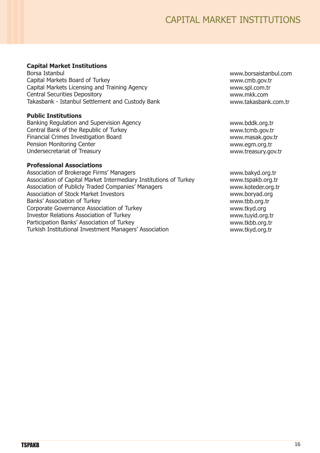#### **Capital Market Institutions**

Borsa Istanbul Capital Markets Board of Turkey Capital Markets Licensing and Training Agency Central Securities Depository Takasbank - Istanbul Settlement and Custody Bank

#### **Public Institutions**

Banking Regulation and Supervision Agency Central Bank of the Republic of Turkey Financial Crimes Investigation Board Pension Monitoring Center Undersecretariat of Treasury

#### **Professional Associations**

Association of Brokerage Firms' Managers Association of Capital Market Intermediary Institutions of Turkey Association of Publicly Traded Companies' Managers Association of Stock Market Investors Banks' Association of Turkey Corporate Governance Association of Turkey Investor Relations Association of Turkey Participation Banks' Association of Turkey Turkish Institutional Investment Managers' Association

www.borsaistanbul.com www.cmb.gov.tr www.spl.com.tr www.mkk.com www.takasbank.com.tr

www.bddk.org.tr www.tcmb.gov.tr www.masak.gov.tr www.egm.org.tr www.treasury.gov.tr

www.bakyd.org.tr www.tspakb.org.tr www.koteder.org.tr www.boryad.org www.tbb.org.tr www.tkyd.org www.tuyid.org.tr www.tkbb.org.tr www.tkyd.org.tr